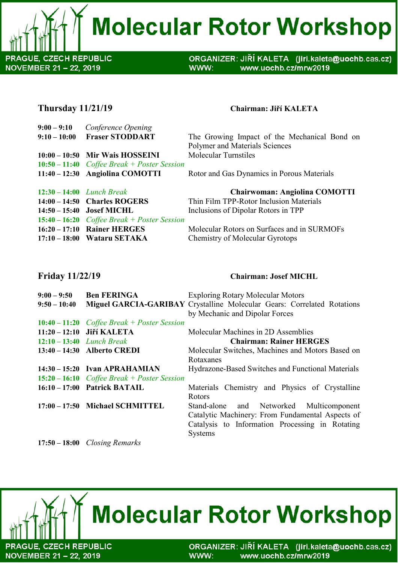**Molecular Rotor Workshop** 

**PRAGUE, CZECH REPUBLIC** NOVEMBER 21 - 22, 2019

ORGANIZER: JIŘÍ KALETA (jiri.kaleta@uochb.cas.cz) WWW: www.uochb.cz/mrw2019

# **Thursday 11/21/19 Chairman: Jiří KALETA**

| $9:00 - 9:10$  | Conference Opening                            |                                              |
|----------------|-----------------------------------------------|----------------------------------------------|
| $9:10 - 10:00$ | <b>Fraser STODDART</b>                        | The Growing Impact of the Mechanical Bond on |
|                |                                               | Polymer and Materials Sciences               |
|                | $10:00 - 10:50$ Mir Wais HOSSEINI             | <b>Molecular Turnstiles</b>                  |
|                | $10:50 - 11:40$ Coffee Break + Poster Session |                                              |
|                | 11:40 – 12:30 Angiolina COMOTTI               | Rotor and Gas Dynamics in Porous Materials   |
|                | $12:30 - 14:00$ <i>Lunch Break</i>            | <b>Chairwoman: Angiolina COMOTTI</b>         |
|                | 14:00 - 14:50 Charles ROGERS                  | Thin Film TPP-Rotor Inclusion Materials      |
|                | 14:50 – 15:40 Josef MICHL                     | Inclusions of Dipolar Rotors in TPP          |
|                | $15:40 - 16:20$ Coffee Break + Poster Session |                                              |
|                | 16:20 - 17:10 Rainer HERGES                   | Molecular Rotors on Surfaces and in SURMOFs  |
|                | 17:10 – 18:00 Wataru SETAKA                   | <b>Chemistry of Molecular Gyrotops</b>       |

### **Friday 11/22/19 Chairman: Josef MICHL**

| $9:00 - 9:50$<br>$9:50 - 10:40$    | <b>Ben FERINGA</b>                            | <b>Exploring Rotary Molecular Motors</b><br><b>Miguel GARCIA-GARIBAY Crystalline Molecular Gears: Correlated Rotations</b><br>by Mechanic and Dipolar Forces |
|------------------------------------|-----------------------------------------------|--------------------------------------------------------------------------------------------------------------------------------------------------------------|
|                                    | $10:40 - 11:20$ Coffee Break + Poster Session |                                                                                                                                                              |
|                                    | 11:20 - 12:10 Jiří KALETA                     | Molecular Machines in 2D Assemblies                                                                                                                          |
| $12:10 - 13:40$ <i>Lunch Break</i> |                                               | <b>Chairman: Rainer HERGES</b>                                                                                                                               |
|                                    | 13:40 - 14:30 Alberto CREDI                   | Molecular Switches, Machines and Motors Based on                                                                                                             |
|                                    |                                               | Rotaxanes                                                                                                                                                    |
|                                    | $14:30-15:20$ Ivan APRAHAMIAN                 | Hydrazone-Based Switches and Functional Materials                                                                                                            |
|                                    | $15:20 - 16:10$ Coffee Break + Poster Session |                                                                                                                                                              |
|                                    | 16:10 - 17:00 Patrick BATAIL                  | Materials Chemistry and Physics of Crystalline                                                                                                               |
|                                    |                                               | <b>R</b> otors                                                                                                                                               |
|                                    | 17:00 - 17:50 Michael SCHMITTEL               | Stand-alone and Networked Multicomponent                                                                                                                     |
|                                    |                                               | Catalytic Machinery: From Fundamental Aspects of                                                                                                             |
|                                    |                                               | Catalysis to Information Processing in Rotating                                                                                                              |
|                                    |                                               | <b>Systems</b>                                                                                                                                               |

**17:50 – 18:00** *Closing Remarks*



ORGANIZER: JIŘÍ KALETA (jiri.kaleta@uochb.cas.cz) WWW: www.uochb.cz/mrw2019